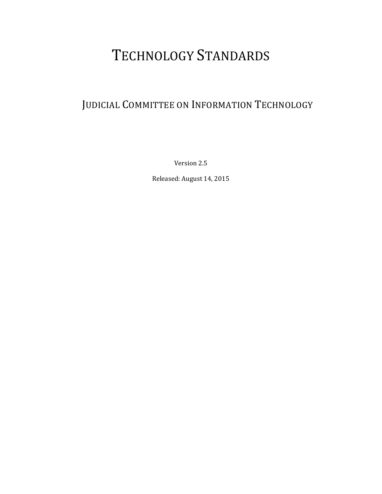# TECHNOLOGY STANDARDS

# JUDICIAL COMMITTEE ON INFORMATION TECHNOLOGY

Version 2.5

Released: August 14, 2015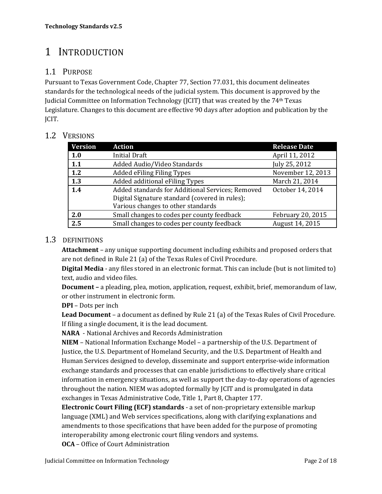# 1 INTRODUCTION

#### 1.1 PURPOSE

Pursuant to Texas Government Code, Chapter 77, Section 77.031, this document delineates standards for the technological needs of the judicial system. This document is approved by the Judicial Committee on Information Technology (JCIT) that was created by the  $74<sup>th</sup>$  Texas Legislature. Changes to this document are effective 90 days after adoption and publication by the JCIT. 

#### 1.2 VERSIONS

| <b>Version</b> | <b>Action</b>                                    | <b>Release Date</b> |
|----------------|--------------------------------------------------|---------------------|
| 1.0            | <b>Initial Draft</b>                             | April 11, 2012      |
| 1.1            | Added Audio/Video Standards                      | July 25, 2012       |
| 1.2            | Added eFiling Filing Types                       | November 12, 2013   |
| 1.3            | Added additional eFiling Types                   | March 21, 2014      |
| 1.4            | Added standards for Additional Services; Removed | October 14, 2014    |
|                | Digital Signature standard (covered in rules);   |                     |
|                | Various changes to other standards               |                     |
| 2.0            | Small changes to codes per county feedback       | February 20, 2015   |
| 2.5            | Small changes to codes per county feedback       | August 14, 2015     |

#### 1.3 DEFINITIONS

**Attachment** – any unique supporting document including exhibits and proposed orders that are not defined in Rule 21 (a) of the Texas Rules of Civil Procedure.

**Digital Media** - any files stored in an electronic format. This can include (but is not limited to) text, audio and video files.

**Document** – a pleading, plea, motion, application, request, exhibit, brief, memorandum of law, or other instrument in electronic form.

**DPI** – Dots per inch

**Lead Document** – a document as defined by Rule 21 (a) of the Texas Rules of Civil Procedure. If filing a single document, it is the lead document.

**NARA** - National Archives and Records Administration

**NIEM** – National Information Exchange Model – a partnership of the U.S. Department of Justice, the U.S. Department of Homeland Security, and the U.S. Department of Health and Human Services designed to develop, disseminate and support enterprise-wide information exchange standards and processes that can enable jurisdictions to effectively share critical information in emergency situations, as well as support the day-to-day operations of agencies throughout the nation. NIEM was adopted formally by JCIT and is promulgated in data exchanges in Texas Administrative Code, Title 1, Part 8, Chapter 177.

**Electronic Court Filing (ECF) standards** - a set of non-proprietary extensible markup language (XML) and Web services specifications, along with clarifying explanations and amendments to those specifications that have been added for the purpose of promoting interoperability among electronic court filing vendors and systems.

**OCA** – Office of Court Administration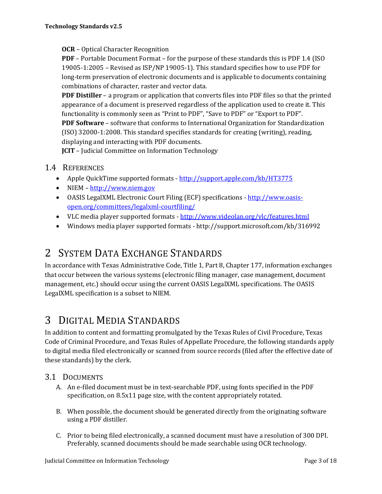**OCR** – Optical Character Recognition

**PDF** – Portable Document Format – for the purpose of these standards this is PDF 1.4 (ISO) 19005-1:2005 – Revised as  $ISP/NP$  19005-1). This standard specifies how to use PDF for long-term preservation of electronic documents and is applicable to documents containing combinations of character, raster and vector data.

**PDF Distiller** – a program or application that converts files into PDF files so that the printed appearance of a document is preserved regardless of the application used to create it. This functionality is commonly seen as "Print to PDF", "Save to PDF" or "Export to PDF".

**PDF Software** – software that conforms to International Organization for Standardization  $(ISO)$  32000-1:2008. This standard specifies standards for creating (writing), reading, displaying and interacting with PDF documents.

**JCIT** – Judicial Committee on Information Technology

- 1.4 REFERENCES
	- Apple QuickTime supported formats http://support.apple.com/kb/HT3775
	- $\bullet$  NIEM http://www.niem.gov
	- OASIS LegalXML Electronic Court Filing (ECF) specifications http://www.oasisopen.org/committees/legalxml‐courtfiling/
	- VLC media player supported formats http://www.videolan.org/vlc/features.html
	- Windows media player supported formats http://support.microsoft.com/kb/316992

## 2 SYSTEM DATA EXCHANGE STANDARDS

In accordance with Texas Administrative Code, Title 1, Part 8, Chapter 177, information exchanges that occur between the various systems (electronic filing manager, case management, document management, etc.) should occur using the current OASIS LegalXML specifications. The OASIS LegalXML specification is a subset to NIEM.

# 3 DIGITAL MEDIA STANDARDS

In addition to content and formatting promulgated by the Texas Rules of Civil Procedure, Texas Code of Criminal Procedure, and Texas Rules of Appellate Procedure, the following standards apply to digital media filed electronically or scanned from source records (filed after the effective date of these standards) by the clerk.

#### 3.1 DOCUMENTS

- A. An e-filed document must be in text-searchable PDF, using fonts specified in the PDF specification, on 8.5x11 page size, with the content appropriately rotated.
- B. When possible, the document should be generated directly from the originating software using a PDF distiller.
- C. Prior to being filed electronically, a scanned document must have a resolution of 300 DPI. Preferably, scanned documents should be made searchable using OCR technology.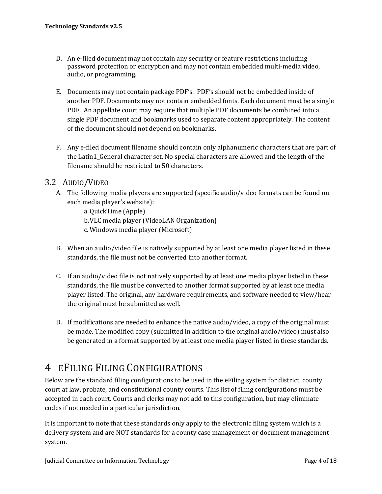- D. An e-filed document may not contain any security or feature restrictions including password protection or encryption and may not contain embedded multi-media video, audio, or programming.
- E. Documents may not contain package PDF's. PDF's should not be embedded inside of another PDF. Documents may not contain embedded fonts. Each document must be a single PDF. An appellate court may require that multiple PDF documents be combined into a single PDF document and bookmarks used to separate content appropriately. The content of the document should not depend on bookmarks.
- F. Any e-filed document filename should contain only alphanumeric characters that are part of the Latin1\_General character set. No special characters are allowed and the length of the filename should be restricted to 50 characters.

#### 3.2 AUDIO/VIDEO

- A. The following media players are supported (specific audio/video formats can be found on each media player's website):
	- a. QuickTime (Apple) b. VLC media player (VideoLAN Organization) c. Windows media player (Microsoft)
- B. When an audio/video file is natively supported by at least one media player listed in these standards, the file must not be converted into another format.
- C. If an audio/video file is not natively supported by at least one media player listed in these standards, the file must be converted to another format supported by at least one media player listed. The original, any hardware requirements, and software needed to view/hear the original must be submitted as well.
- D. If modifications are needed to enhance the native audio/video, a copy of the original must be made. The modified copy (submitted in addition to the original audio/video) must also be generated in a format supported by at least one media player listed in these standards.

# 4 EFILING FILING CONFIGURATIONS

Below are the standard filing configurations to be used in the eFiling system for district, county court at law, probate, and constitutional county courts. This list of filing configurations must be accepted in each court. Courts and clerks may not add to this configuration, but may eliminate codes if not needed in a particular jurisdiction.

It is important to note that these standards only apply to the electronic filing system which is a delivery system and are NOT standards for a county case management or document management system.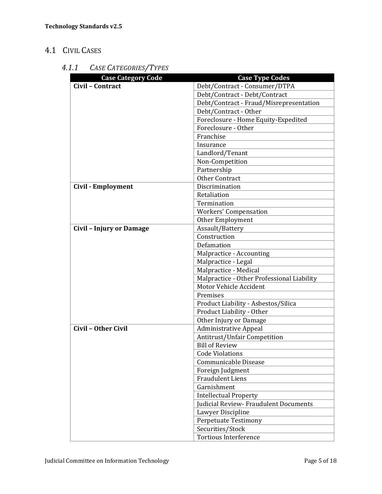### 4.1 CIVIL CASES

### *4.1.1 CASE CATEGORIES/TYPES*

| <b>Case Category Code</b>  | <b>Case Type Codes</b>                     |
|----------------------------|--------------------------------------------|
| Civil - Contract           | Debt/Contract - Consumer/DTPA              |
|                            | Debt/Contract - Debt/Contract              |
|                            | Debt/Contract - Fraud/Misrepresentation    |
|                            | Debt/Contract - Other                      |
|                            | Foreclosure - Home Equity-Expedited        |
|                            | Foreclosure - Other                        |
|                            | Franchise                                  |
|                            | Insurance                                  |
|                            | Landlord/Tenant                            |
|                            | Non-Competition                            |
|                            | Partnership                                |
|                            | <b>Other Contract</b>                      |
| Civil - Employment         | Discrimination                             |
|                            | Retaliation                                |
|                            | Termination                                |
|                            | <b>Workers' Compensation</b>               |
|                            | Other Employment                           |
| Civil - Injury or Damage   | Assault/Battery                            |
|                            | Construction                               |
|                            | Defamation                                 |
|                            | Malpractice - Accounting                   |
|                            | Malpractice - Legal                        |
|                            | Malpractice - Medical                      |
|                            | Malpractice - Other Professional Liability |
|                            | Motor Vehicle Accident                     |
|                            | Premises                                   |
|                            | Product Liability - Asbestos/Silica        |
|                            | Product Liability - Other                  |
|                            | Other Injury or Damage                     |
| <b>Civil - Other Civil</b> | <b>Administrative Appeal</b>               |
|                            | Antitrust/Unfair Competition               |
|                            | <b>Bill of Review</b>                      |
|                            | <b>Code Violations</b>                     |
|                            | Communicable Disease                       |
|                            | Foreign Judgment                           |
|                            | <b>Fraudulent Liens</b>                    |
|                            | Garnishment                                |
|                            | <b>Intellectual Property</b>               |
|                            | Judicial Review- Fraudulent Documents      |
|                            | Lawyer Discipline                          |
|                            | <b>Perpetuate Testimony</b>                |
|                            | Securities/Stock                           |
|                            | <b>Tortious Interference</b>               |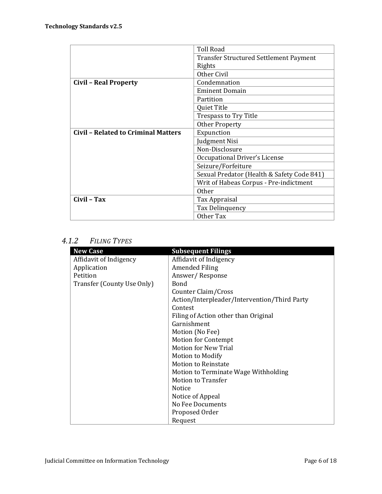|                                            | <b>Toll Road</b>                           |
|--------------------------------------------|--------------------------------------------|
|                                            | Transfer Structured Settlement Payment     |
|                                            | Rights                                     |
|                                            | Other Civil                                |
| <b>Civil - Real Property</b>               | Condemnation                               |
|                                            | <b>Eminent Domain</b>                      |
|                                            | Partition                                  |
|                                            | Quiet Title                                |
|                                            | <b>Trespass to Try Title</b>               |
|                                            | Other Property                             |
| <b>Civil - Related to Criminal Matters</b> | Expunction                                 |
|                                            | Judgment Nisi                              |
|                                            | Non-Disclosure                             |
|                                            | Occupational Driver's License              |
|                                            | Seizure/Forfeiture                         |
|                                            | Sexual Predator (Health & Safety Code 841) |
|                                            | Writ of Habeas Corpus - Pre-indictment     |
|                                            | <b>Other</b>                               |
| Civil - Tax                                | Tax Appraisal                              |
|                                            | Tax Delinquency                            |
|                                            | Other Tax                                  |

#### *4.1.2 FILING TYPES*

| <b>New Case</b>            | <b>Subsequent Filings</b>                    |
|----------------------------|----------------------------------------------|
| Affidavit of Indigency     | Affidavit of Indigency                       |
| Application                | <b>Amended Filing</b>                        |
| Petition                   | Answer/Response                              |
| Transfer (County Use Only) | Bond                                         |
|                            | Counter Claim/Cross                          |
|                            | Action/Interpleader/Intervention/Third Party |
|                            | Contest                                      |
|                            | Filing of Action other than Original         |
|                            | Garnishment                                  |
|                            | Motion (No Fee)                              |
|                            | <b>Motion for Contempt</b>                   |
|                            | <b>Motion for New Trial</b>                  |
|                            | <b>Motion to Modify</b>                      |
|                            | <b>Motion to Reinstate</b>                   |
|                            | Motion to Terminate Wage Withholding         |
|                            | <b>Motion to Transfer</b>                    |
|                            | Notice                                       |
|                            | Notice of Appeal                             |
|                            | No Fee Documents                             |
|                            | Proposed Order                               |
|                            | Request                                      |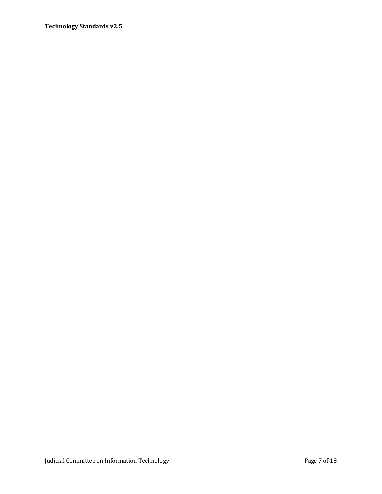**Technology Standards v2.5**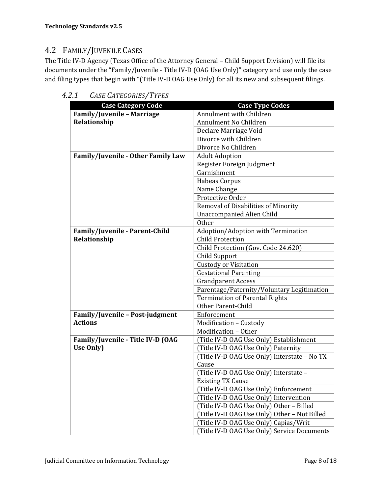#### 4.2 FAMILY/JUVENILE CASES

The Title IV-D Agency (Texas Office of the Attorney General - Child Support Division) will file its documents under the "Family/Juvenile - Title IV-D (OAG Use Only)" category and use only the case and filing types that begin with "(Title IV-D OAG Use Only) for all its new and subsequent filings.

| <b>Case Category Code</b>          | <b>Case Type Codes</b>                       |
|------------------------------------|----------------------------------------------|
| <b>Family/Juvenile - Marriage</b>  | Annulment with Children                      |
| Relationship                       | Annulment No Children                        |
|                                    | Declare Marriage Void                        |
|                                    | Divorce with Children                        |
|                                    | Divorce No Children                          |
| Family/Juvenile - Other Family Law | <b>Adult Adoption</b>                        |
|                                    | Register Foreign Judgment                    |
|                                    | Garnishment                                  |
|                                    | Habeas Corpus                                |
|                                    | Name Change                                  |
|                                    | Protective Order                             |
|                                    | Removal of Disabilities of Minority          |
|                                    | <b>Unaccompanied Alien Child</b>             |
|                                    | Other                                        |
| Family/Juvenile - Parent-Child     | Adoption/Adoption with Termination           |
| Relationship                       | <b>Child Protection</b>                      |
|                                    | Child Protection (Gov. Code 24.620)          |
|                                    | Child Support                                |
|                                    | <b>Custody or Visitation</b>                 |
|                                    | <b>Gestational Parenting</b>                 |
|                                    | <b>Grandparent Access</b>                    |
|                                    | Parentage/Paternity/Voluntary Legitimation   |
|                                    | <b>Termination of Parental Rights</b>        |
|                                    | Other Parent-Child                           |
| Family/Juvenile - Post-judgment    | Enforcement                                  |
| <b>Actions</b>                     | Modification - Custody                       |
|                                    | Modification - Other                         |
| Family/Juvenile - Title IV-D (OAG  | (Title IV-D OAG Use Only) Establishment      |
| Use Only)                          | (Title IV-D OAG Use Only) Paternity          |
|                                    | (Title IV-D OAG Use Only) Interstate - No TX |
|                                    | Cause                                        |
|                                    | (Title IV-D OAG Use Only) Interstate -       |
|                                    | <b>Existing TX Cause</b>                     |
|                                    | (Title IV-D OAG Use Only) Enforcement        |
|                                    | (Title IV-D OAG Use Only) Intervention       |
|                                    | (Title IV-D OAG Use Only) Other - Billed     |
|                                    | (Title IV-D OAG Use Only) Other - Not Billed |
|                                    | (Title IV-D OAG Use Only) Capias/Writ        |
|                                    | (Title IV-D OAG Use Only) Service Documents  |

*4.2.1 CASE CATEGORIES/TYPES*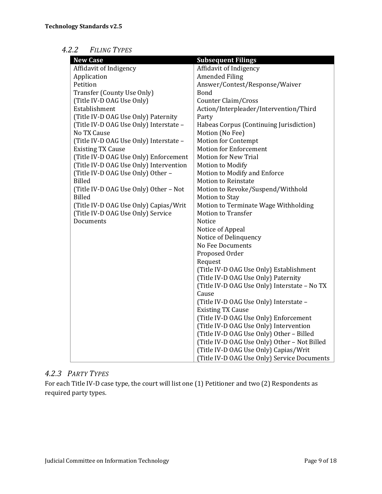#### *4.2.2 FILING TYPES*

| <b>New Case</b>                        | <b>Subsequent Filings</b>                    |
|----------------------------------------|----------------------------------------------|
| Affidavit of Indigency                 | Affidavit of Indigency                       |
| Application                            | <b>Amended Filing</b>                        |
| Petition                               | Answer/Contest/Response/Waiver               |
| Transfer (County Use Only)             | Bond                                         |
| (Title IV-D OAG Use Only)              | Counter Claim/Cross                          |
| Establishment                          | Action/Interpleader/Intervention/Third       |
| (Title IV-D OAG Use Only) Paternity    | Party                                        |
| (Title IV-D OAG Use Only) Interstate - | Habeas Corpus (Continuing Jurisdiction)      |
| No TX Cause                            | Motion (No Fee)                              |
| (Title IV-D OAG Use Only) Interstate - | <b>Motion for Contempt</b>                   |
| <b>Existing TX Cause</b>               | <b>Motion for Enforcement</b>                |
| (Title IV-D OAG Use Only) Enforcement  | <b>Motion for New Trial</b>                  |
| (Title IV-D OAG Use Only) Intervention | Motion to Modify                             |
| (Title IV-D OAG Use Only) Other -      | Motion to Modify and Enforce                 |
| <b>Billed</b>                          | <b>Motion to Reinstate</b>                   |
| (Title IV-D OAG Use Only) Other - Not  | Motion to Revoke/Suspend/Withhold            |
| <b>Billed</b>                          | Motion to Stay                               |
| (Title IV-D OAG Use Only) Capias/Writ  | Motion to Terminate Wage Withholding         |
| (Title IV-D OAG Use Only) Service      | <b>Motion to Transfer</b>                    |
| Documents                              | Notice                                       |
|                                        | Notice of Appeal                             |
|                                        | Notice of Delinquency                        |
|                                        | <b>No Fee Documents</b>                      |
|                                        | Proposed Order                               |
|                                        | Request                                      |
|                                        | (Title IV-D OAG Use Only) Establishment      |
|                                        | (Title IV-D OAG Use Only) Paternity          |
|                                        | (Title IV-D OAG Use Only) Interstate - No TX |
|                                        | Cause                                        |
|                                        | (Title IV-D OAG Use Only) Interstate -       |
|                                        | <b>Existing TX Cause</b>                     |
|                                        | (Title IV-D OAG Use Only) Enforcement        |
|                                        | (Title IV-D OAG Use Only) Intervention       |
|                                        | (Title IV-D OAG Use Only) Other - Billed     |
|                                        | (Title IV-D OAG Use Only) Other - Not Billed |
|                                        | (Title IV-D OAG Use Only) Capias/Writ        |
|                                        | (Title IV-D OAG Use Only) Service Documents  |

#### *4.2.3 PARTY TYPES*

For each Title IV-D case type, the court will list one (1) Petitioner and two (2) Respondents as required party types.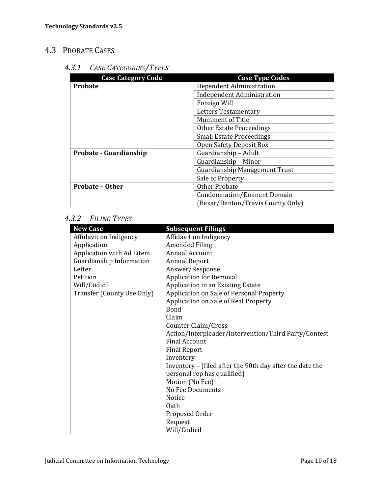## 4.3 PROBATE CASES

#### *4.3.1 CASE CATEGORIES/TYPES*

| <b>Case Category Code</b> | <b>Case Type Codes</b>               |
|---------------------------|--------------------------------------|
| <b>Probate</b>            | Dependent Administration             |
|                           | <b>Independent Administration</b>    |
|                           | Foreign Will                         |
|                           | <b>Letters Testamentary</b>          |
|                           | Muniment of Title                    |
|                           | <b>Other Estate Proceedings</b>      |
|                           | <b>Small Estate Proceedings</b>      |
|                           | Open Safety Deposit Box              |
| Probate - Guardianship    | Guardianship - Adult                 |
|                           | Guardianship - Minor                 |
|                           | <b>Guardianship Management Trust</b> |
|                           | Sale of Property                     |
| <b>Probate - Other</b>    | <b>Other Probate</b>                 |
|                           | <b>Condemnation/Eminent Domain</b>   |
|                           | (Bexar/Denton/Travis County Only)    |

#### *4.3.2 FILING TYPES*

| <b>New Case</b>            | <b>Subsequent Filings</b>                                |
|----------------------------|----------------------------------------------------------|
| Affidavit on Indigency     | Affidavit on Indigency                                   |
| Application                | <b>Amended Filing</b>                                    |
| Application with Ad Litem  | Annual Account                                           |
| Guardianship Information   | <b>Annual Report</b>                                     |
| Letter                     | Answer/Response                                          |
| Petition                   | <b>Application for Removal</b>                           |
| Will/Codicil               | Application in an Existing Estate                        |
| Transfer (County Use Only) | Application on Sale of Personal Property                 |
|                            | Application on Sale of Real Property                     |
|                            | Bond                                                     |
|                            | Claim                                                    |
|                            | Counter Claim/Cross                                      |
|                            | Action/Interpleader/Intervention/Third Party/Contest     |
|                            | Final Account                                            |
|                            | <b>Final Report</b>                                      |
|                            | Inventory                                                |
|                            | Inventory – (filed after the 90th day after the date the |
|                            | personal rep has qualified)                              |
|                            | Motion (No Fee)                                          |
|                            | No Fee Documents                                         |
|                            | <b>Notice</b>                                            |
|                            | 0ath                                                     |
|                            | Proposed Order                                           |
|                            | Request                                                  |
|                            | Will/Codicil                                             |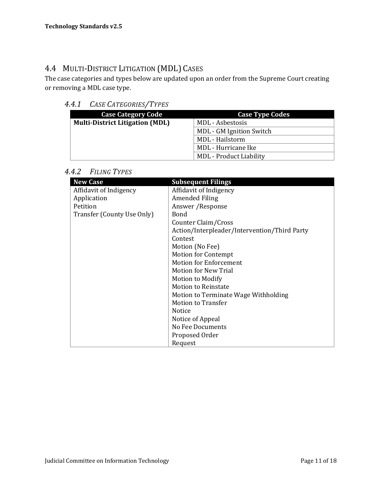#### 4.4 MULTI-DISTRICT LITIGATION (MDL) CASES

The case categories and types below are updated upon an order from the Supreme Court creating or removing a MDL case type.

#### *4.4.1 CASE CATEGORIES/TYPES*

| <b>Case Category Code</b>              | <b>Case Type Codes</b>          |
|----------------------------------------|---------------------------------|
| <b>Multi-District Litigation (MDL)</b> | MDL - Asbestosis                |
|                                        | <b>MDL</b> - GM Ignition Switch |
|                                        | MDL - Hailstorm                 |
|                                        | MDL - Hurricane Ike             |
|                                        | <b>MDL</b> - Product Liability  |

*4.4.2 FILING TYPES*

| <b>New Case</b>            | <b>Subsequent Filings</b>                    |
|----------------------------|----------------------------------------------|
| Affidavit of Indigency     | Affidavit of Indigency                       |
| Application                | <b>Amended Filing</b>                        |
| Petition                   | Answer / Response                            |
| Transfer (County Use Only) | <b>Bond</b>                                  |
|                            | Counter Claim/Cross                          |
|                            | Action/Interpleader/Intervention/Third Party |
|                            | Contest                                      |
|                            | Motion (No Fee)                              |
|                            | <b>Motion for Contempt</b>                   |
|                            | <b>Motion for Enforcement</b>                |
|                            | Motion for New Trial                         |
|                            | <b>Motion to Modify</b>                      |
|                            | <b>Motion to Reinstate</b>                   |
|                            | Motion to Terminate Wage Withholding         |
|                            | <b>Motion to Transfer</b>                    |
|                            | Notice                                       |
|                            | Notice of Appeal                             |
|                            | No Fee Documents                             |
|                            | Proposed Order                               |
|                            | Request                                      |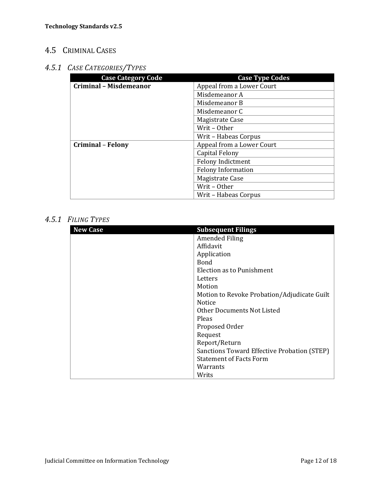#### 4.5 CRIMINAL CASES

#### *4.5.1 CASE CATEGORIES/TYPES*

| <b>Case Category Code</b>     | <b>Case Type Codes</b>    |
|-------------------------------|---------------------------|
| <b>Criminal - Misdemeanor</b> | Appeal from a Lower Court |
|                               | Misdemeanor A             |
|                               | Misdemeanor B             |
|                               | Misdemeanor C             |
|                               | Magistrate Case           |
|                               | Writ - Other              |
|                               | Writ - Habeas Corpus      |
| <b>Criminal - Felony</b>      | Appeal from a Lower Court |
|                               | Capital Felony            |
|                               | <b>Felony Indictment</b>  |
|                               | <b>Felony Information</b> |
|                               | Magistrate Case           |
|                               | Writ - Other              |
|                               | Writ - Habeas Corpus      |

#### *4.5.1 FILING TYPES*

| <b>New Case</b> | <b>Subsequent Filings</b>                   |
|-----------------|---------------------------------------------|
|                 | <b>Amended Filing</b>                       |
|                 | Affidavit                                   |
|                 | Application                                 |
|                 | <b>Bond</b>                                 |
|                 | Election as to Punishment                   |
|                 | Letters                                     |
|                 | Motion                                      |
|                 | Motion to Revoke Probation/Adjudicate Guilt |
|                 | <b>Notice</b>                               |
|                 | Other Documents Not Listed                  |
|                 | Pleas                                       |
|                 | Proposed Order                              |
|                 | Request                                     |
|                 | Report/Return                               |
|                 | Sanctions Toward Effective Probation (STEP) |
|                 | <b>Statement of Facts Form</b>              |
|                 | Warrants                                    |
|                 | Writs                                       |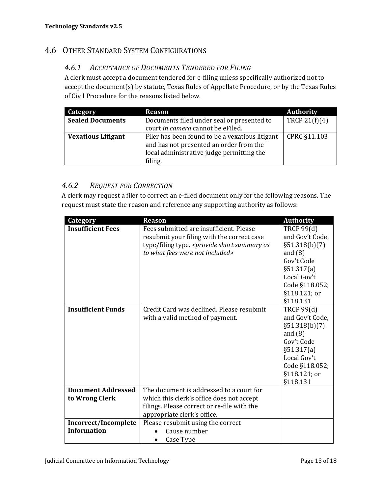#### **4.6 OTHER STANDARD SYSTEM CONFIGURATIONS**

#### *4.6.1 ACCEPTANCE OF DOCUMENTS TENDERED FOR FILING*

A clerk must accept a document tendered for e-filing unless specifically authorized not to accept the document(s) by statute, Texas Rules of Appellate Procedure, or by the Texas Rules of Civil Procedure for the reasons listed below.

| Category                  | Reason                                          | <b>Authority</b> |
|---------------------------|-------------------------------------------------|------------------|
| <b>Sealed Documents</b>   | Documents filed under seal or presented to      | TRCP 21 $(f)(4)$ |
|                           | court in camera cannot be eFiled.               |                  |
| <b>Vexatious Litigant</b> | Filer has been found to be a vexatious litigant | CPRC §11.103     |
|                           | and has not presented an order from the         |                  |
|                           | local administrative judge permitting the       |                  |
|                           | filing.                                         |                  |

#### *4.6.2 REQUEST FOR CORRECTION*

A clerk may request a filer to correct an e-filed document only for the following reasons. The request must state the reason and reference any supporting authority as follows:

| <b>Category</b>           | <b>Reason</b>                                | <b>Authority</b>  |
|---------------------------|----------------------------------------------|-------------------|
| <b>Insufficient Fees</b>  | Fees submitted are insufficient. Please      | <b>TRCP 99(d)</b> |
|                           | resubmit your filing with the correct case   | and Gov't Code,   |
|                           | type/filing type. < provide short summary as | $\S51.318(b)(7)$  |
|                           | to what fees were not included>              | and $(8)$         |
|                           |                                              | Gov't Code        |
|                           |                                              | §51.317(a)        |
|                           |                                              | Local Gov't       |
|                           |                                              | Code §118.052;    |
|                           |                                              | §118.121; or      |
|                           |                                              | §118.131          |
| <b>Insufficient Funds</b> | Credit Card was declined. Please resubmit    | <b>TRCP 99(d)</b> |
|                           | with a valid method of payment.              | and Gov't Code,   |
|                           |                                              | §51.318(b)(7)     |
|                           |                                              | and $(8)$         |
|                           |                                              | Gov't Code        |
|                           |                                              | §51.317(a)        |
|                           |                                              | Local Gov't       |
|                           |                                              | Code §118.052;    |
|                           |                                              | §118.121; or      |
|                           |                                              | §118.131          |
| <b>Document Addressed</b> | The document is addressed to a court for     |                   |
| to Wrong Clerk            | which this clerk's office does not accept    |                   |
|                           | filings. Please correct or re-file with the  |                   |
|                           | appropriate clerk's office.                  |                   |
| Incorrect/Incomplete      | Please resubmit using the correct            |                   |
| <b>Information</b>        | Cause number                                 |                   |
|                           | Case Type                                    |                   |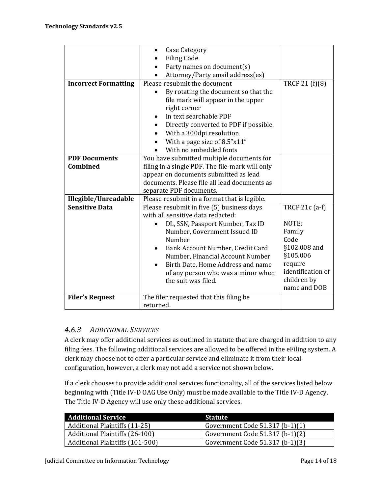|                             | <b>Case Category</b><br>$\bullet$                   |                             |
|-----------------------------|-----------------------------------------------------|-----------------------------|
|                             | <b>Filing Code</b>                                  |                             |
|                             | Party names on document(s)                          |                             |
|                             | Attorney/Party email address(es)                    |                             |
| <b>Incorrect Formatting</b> | Please resubmit the document                        | TRCP 21 (f)(8)              |
|                             | By rotating the document so that the                |                             |
|                             | file mark will appear in the upper                  |                             |
|                             | right corner                                        |                             |
|                             | In text searchable PDF<br>$\bullet$                 |                             |
|                             | Directly converted to PDF if possible.<br>$\bullet$ |                             |
|                             | With a 300dpi resolution                            |                             |
|                             | With a page size of 8.5"x11"                        |                             |
|                             | With no embedded fonts                              |                             |
| <b>PDF Documents</b>        | You have submitted multiple documents for           |                             |
| Combined                    | filing in a single PDF. The file-mark will only     |                             |
|                             | appear on documents submitted as lead               |                             |
|                             | documents. Please file all lead documents as        |                             |
|                             | separate PDF documents.                             |                             |
| Illegible/Unreadable        | Please resubmit in a format that is legible.        |                             |
| <b>Sensitive Data</b>       | Please resubmit in five (5) business days           | TRCP 21c (a-f)              |
|                             | with all sensitive data redacted:                   |                             |
|                             | DL, SSN, Passport Number, Tax ID                    | NOTE:                       |
|                             | Number, Government Issued ID                        | Family                      |
|                             | Number                                              | Code                        |
|                             | Bank Account Number, Credit Card<br>$\bullet$       | §102.008 and                |
|                             | Number, Financial Account Number                    | §105.006                    |
|                             | Birth Date, Home Address and name<br>$\bullet$      | require                     |
|                             | of any person who was a minor when                  | identification of           |
|                             | the suit was filed.                                 | children by<br>name and DOB |
|                             |                                                     |                             |
| <b>Filer's Request</b>      | The filer requested that this filing be             |                             |
|                             | returned.                                           |                             |

#### *4.6.3 ADDITIONAL SERVICES*

A clerk may offer additional services as outlined in statute that are charged in addition to any filing fees. The following additional services are allowed to be offered in the eFiling system. A clerk may choose not to offer a particular service and eliminate it from their local configuration, however, a clerk may not add a service not shown below.

If a clerk chooses to provide additional services functionality, all of the services listed below beginning with (Title IV-D OAG Use Only) must be made available to the Title IV-D Agency. The Title IV-D Agency will use only these additional services.

| <b>Additional Service</b>       | <b>Statute</b>                  |
|---------------------------------|---------------------------------|
| Additional Plaintiffs (11-25)   | Government Code 51.317 (b-1)(1) |
| Additional Plaintiffs (26-100)  | Government Code 51.317 (b-1)(2) |
| Additional Plaintiffs (101-500) | Government Code 51.317 (b-1)(3) |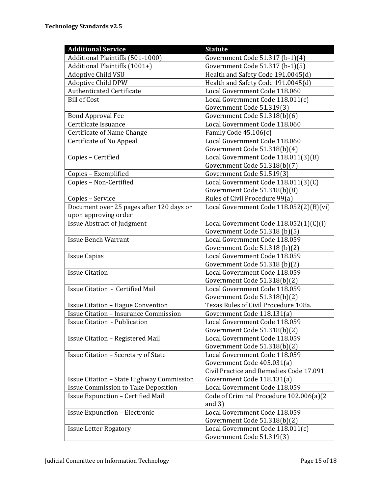| <b>Additional Service</b>                    | <b>Statute</b>                                      |
|----------------------------------------------|-----------------------------------------------------|
| Additional Plaintiffs (501-1000)             | Government Code 51.317 (b-1)(4)                     |
| Additional Plaintiffs (1001+)                | Government Code 51.317 (b-1)(5)                     |
| <b>Adoptive Child VSU</b>                    | Health and Safety Code 191.0045(d)                  |
| <b>Adoptive Child DPW</b>                    | Health and Safety Code 191.0045(d)                  |
| <b>Authenticated Certificate</b>             | Local Government Code 118.060                       |
| <b>Bill of Cost</b>                          | Local Government Code 118.011(c)                    |
|                                              | Government Code 51.319(3)                           |
| <b>Bond Approval Fee</b>                     | Government Code 51.318(b)(6)                        |
| Certificate Issuance                         | Local Government Code 118.060                       |
| Certificate of Name Change                   | Family Code 45.106(c)                               |
| Certificate of No Appeal                     | Local Government Code 118.060                       |
|                                              | Government Code 51.318(b)(4)                        |
| Copies - Certified                           | Local Government Code 118.011(3)(B)                 |
|                                              | Government Code 51.318(b)(7)                        |
| Copies - Exemplified                         | Government Code 51.519(3)                           |
| Copies - Non-Certified                       | Local Government Code 118.011(3)(C)                 |
|                                              | Government Code 51.318(b)(8)                        |
| Copies - Service                             | Rules of Civil Procedure 99(a)                      |
| Document over 25 pages after 120 days or     | Local Government Code 118.052(2)(B)(vi)             |
| upon approving order                         |                                                     |
| <b>Issue Abstract of Judgment</b>            | Local Government Code 118.052(1)(C)(i)              |
|                                              | Government Code 51.318 (b)(5)                       |
| <b>Issue Bench Warrant</b>                   | Local Government Code 118.059                       |
|                                              | Government Code 51.318 (b)(2)                       |
| <b>Issue Capias</b>                          | Local Government Code 118.059                       |
|                                              | Government Code 51.318 (b)(2)                       |
| <b>Issue Citation</b>                        | Local Government Code 118.059                       |
|                                              | Government Code 51.318(b)(2)                        |
| <b>Issue Citation - Certified Mail</b>       | Local Government Code 118.059                       |
|                                              | Government Code 51.318(b)(2)                        |
| <b>Issue Citation - Hague Convention</b>     | Texas Rules of Civil Procedure 108a.                |
| <b>Issue Citation - Insurance Commission</b> | Government Code 118.131(a)                          |
| Issue Citation - Publication                 | Local Government Code 118.059                       |
|                                              | Government Code 51.318(b)(2)                        |
| Issue Citation - Registered Mail             | Local Government Code 118.059                       |
|                                              | Government Code 51.318(b)(2)                        |
| Issue Citation - Secretary of State          | Local Government Code 118.059                       |
|                                              | Government Code 405.031(a)                          |
|                                              | Civil Practice and Remedies Code 17.091             |
| Issue Citation - State Highway Commission    | Government Code 118.131(a)                          |
| Issue Commission to Take Deposition          | Local Government Code 118.059                       |
| <b>Issue Expunction - Certified Mail</b>     | Code of Criminal Procedure 102.006(a)(2<br>and $3)$ |
| <b>Issue Expunction - Electronic</b>         | Local Government Code 118.059                       |
|                                              | Government Code 51.318(b)(2)                        |
| <b>Issue Letter Rogatory</b>                 | Local Government Code 118.011(c)                    |
|                                              | Government Code 51.319(3)                           |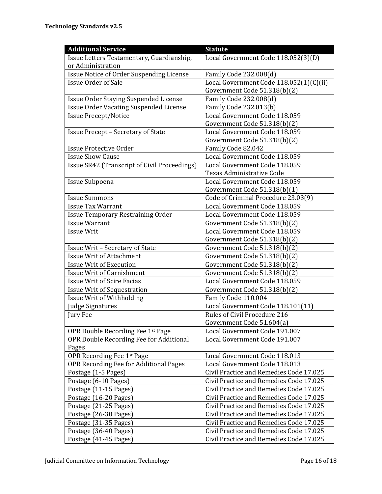| <b>Additional Service</b>                           | <b>Statute</b>                          |  |
|-----------------------------------------------------|-----------------------------------------|--|
| Issue Letters Testamentary, Guardianship,           | Local Government Code 118.052(3)(D)     |  |
| or Administration                                   |                                         |  |
| Issue Notice of Order Suspending License            | Family Code 232.008(d)                  |  |
| <b>Issue Order of Sale</b>                          | Local Government Code 118.052(1)(C)(ii) |  |
|                                                     | Government Code 51.318(b)(2)            |  |
| Issue Order Staying Suspended License               | Family Code 232.008(d)                  |  |
| <b>Issue Order Vacating Suspended License</b>       | Family Code 232.013(b)                  |  |
| <b>Issue Precept/Notice</b>                         | Local Government Code 118.059           |  |
|                                                     | Government Code 51.318(b)(2)            |  |
| <b>Issue Precept - Secretary of State</b>           | Local Government Code 118.059           |  |
|                                                     | Government Code 51.318(b)(2)            |  |
| <b>Issue Protective Order</b>                       | Family Code 82.042                      |  |
| <b>Issue Show Cause</b>                             | Local Government Code 118.059           |  |
| <b>Issue SR42 (Transcript of Civil Proceedings)</b> | Local Government Code 118.059           |  |
|                                                     | Texas Administrative Code               |  |
| Issue Subpoena                                      | Local Government Code 118.059           |  |
|                                                     | Government Code 51.318(b)(1)            |  |
| <b>Issue Summons</b>                                | Code of Criminal Procedure 23.03(9)     |  |
| <b>Issue Tax Warrant</b>                            | Local Government Code 118.059           |  |
| Issue Temporary Restraining Order                   | Local Government Code 118.059           |  |
| <b>Issue Warrant</b>                                | Government Code 51.318(b)(2)            |  |
| <b>Issue Writ</b>                                   | Local Government Code 118.059           |  |
|                                                     | Government Code 51.318(b)(2)            |  |
| Issue Writ - Secretary of State                     | Government Code 51.318(b)(2)            |  |
| <b>Issue Writ of Attachment</b>                     | Government Code 51.318(b)(2)            |  |
| <b>Issue Writ of Execution</b>                      | Government Code 51.318(b)(2)            |  |
| <b>Issue Writ of Garnishment</b>                    | Government Code 51.318(b)(2)            |  |
| <b>Issue Writ of Scire Facias</b>                   | Local Government Code 118.059           |  |
| <b>Issue Writ of Sequestration</b>                  | Government Code 51.318(b)(2)            |  |
| Issue Writ of Withholding                           | Family Code 110.004                     |  |
| Judge Signatures                                    | Local Government Code 118.101(11)       |  |
| Jury Fee                                            | Rules of Civil Procedure 216            |  |
|                                                     | Government Code 51.604(a)               |  |
| OPR Double Recording Fee 1st Page                   | Local Government Code 191.007           |  |
| OPR Double Recording Fee for Additional             | Local Government Code 191.007           |  |
| Pages                                               |                                         |  |
| OPR Recording Fee 1st Page                          | Local Government Code 118.013           |  |
| OPR Recording Fee for Additional Pages              | Local Government Code 118.013           |  |
| Postage (1-5 Pages)                                 | Civil Practice and Remedies Code 17.025 |  |
| Postage (6-10 Pages)                                | Civil Practice and Remedies Code 17.025 |  |
| Postage (11-15 Pages)                               | Civil Practice and Remedies Code 17.025 |  |
| Postage (16-20 Pages)                               | Civil Practice and Remedies Code 17.025 |  |
| Postage (21-25 Pages)                               | Civil Practice and Remedies Code 17.025 |  |
| Postage (26-30 Pages)                               | Civil Practice and Remedies Code 17.025 |  |
| Postage (31-35 Pages)                               | Civil Practice and Remedies Code 17.025 |  |
| Postage (36-40 Pages)                               | Civil Practice and Remedies Code 17.025 |  |
| Postage (41-45 Pages)                               | Civil Practice and Remedies Code 17.025 |  |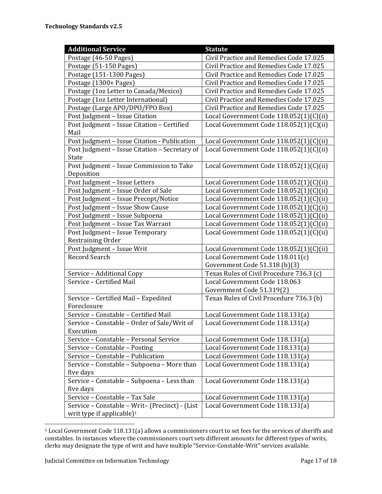| <b>Additional Service</b>                      | <b>Statute</b>                           |
|------------------------------------------------|------------------------------------------|
| Postage (46-50 Pages)                          | Civil Practice and Remedies Code 17.025  |
| Postage (51-150 Pages)                         | Civil Practice and Remedies Code 17.025  |
| Postage (151-1300 Pages)                       | Civil Practice and Remedies Code 17.025  |
| Postage (1300+ Pages)                          | Civil Practice and Remedies Code 17.025  |
| Postage (1oz Letter to Canada/Mexico)          | Civil Practice and Remedies Code 17.025  |
| Postage (1oz Letter International)             | Civil Practice and Remedies Code 17.025  |
| Postage (Large APO/DPO/FPO Box)                | Civil Practice and Remedies Code 17.025  |
| Post Judgment - Issue Citation                 | Local Government Code 118.052(1)(C)(ii)  |
| Post Judgment - Issue Citation - Certified     | Local Government Code 118.052(1)(C)(ii)  |
| Mail                                           |                                          |
| Post Judgment - Issue Citation - Publication   | Local Government Code 118.052(1)(C)(ii)  |
| Post Judgment - Issue Citation - Secretary of  | Local Government Code 118.052(1)(C)(ii)  |
| State                                          |                                          |
| Post Judgment - Issue Commission to Take       | Local Government Code 118.052(1)(C)(ii)  |
| Deposition                                     |                                          |
| Post Judgment - Issue Letters                  | Local Government Code 118.052(1)(C)(ii)  |
| Post Judgment - Issue Order of Sale            | Local Government Code 118.052(1)(C)(ii)  |
| Post Judgment - Issue Precept/Notice           | Local Government Code 118.052(1)(C)(ii)  |
| Post Judgment - Issue Show Cause               | Local Government Code 118.052(1)(C)(ii)  |
| Post Judgment - Issue Subpoena                 | Local Government Code 118.052(1)(C)(ii)  |
| Post Judgment - Issue Tax Warrant              | Local Government Code 118.052(1)(C)(ii)  |
| Post Judgment - Issue Temporary                | Local Government Code 118.052(1)(C)(ii)  |
| Restraining Order                              |                                          |
| Post Judgment - Issue Writ                     | Local Government Code 118.052(1)(C)(ii)  |
| <b>Record Search</b>                           | Local Government Code 118.011(c)         |
|                                                | Government Code 51.318 (b)(3)            |
| Service - Additional Copy                      | Texas Rules of Civil Procedure 736.3 (c) |
| Service - Certified Mail                       | Local Government Code 118.063            |
|                                                | Government Code 51.319(2)                |
| Service - Certified Mail - Expedited           | Texas Rules of Civil Procedure 736.3 (b) |
| Foreclosure                                    |                                          |
| Service - Constable - Certified Mail           | Local Government Code 118.131(a)         |
| Service - Constable - Order of Sale/Writ of    | Local Government Code 118.131(a)         |
| Execution                                      |                                          |
| Service - Constable - Personal Service         | Local Government Code 118.131(a)         |
| Service - Constable - Posting                  | Local Government Code 118.131(a)         |
| Service - Constable - Publication              | Local Government Code 118.131(a)         |
| Service - Constable - Subpoena - More than     | Local Government Code 118.131(a)         |
| five days                                      |                                          |
| Service - Constable - Subpoena - Less than     | Local Government Code 118.131(a)         |
| five days                                      |                                          |
| Service - Constable - Tax Sale                 | Local Government Code 118.131(a)         |
| Service - Constable - Writ- (Precinct) - (List | Local Government Code 118.131(a)         |
| writ type if applicable) $1$                   |                                          |

<sup>&</sup>lt;sup>1</sup> Local Government Code 118.131(a) allows a commissioners court to set fees for the services of sheriffs and constables. In instances where the commissioners court sets different amounts for different types of writs, clerks may designate the type of writ and have multiple "Service-Constable-Writ" services available.